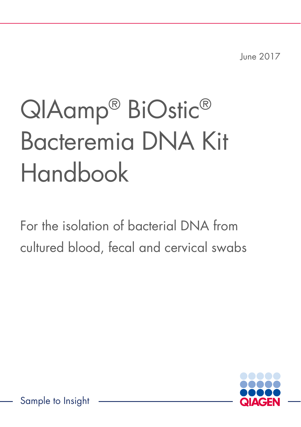June 2017

# QIAamp® BiOstic® Bacteremia DNA Kit Handbook

For the isolation of bacterial DNA from cultured blood, fecal and cervical swabs

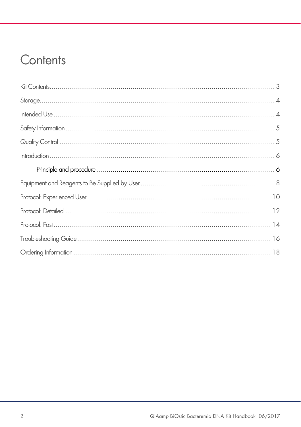### Contents

| $\begin{minipage}[c]{0.9\linewidth} \begin{minipage}[c]{0.9\linewidth} \begin{minipage}[c]{0.9\linewidth} \begin{minipage}[c]{0.9\linewidth} \begin{minipage}[c]{0.9\linewidth} \end{minipage}[c]{0.9\linewidth} \begin{minipage}[c]{0.9\linewidth} \begin{minipage}[c]{0.9\linewidth} \end{minipage}[c]{0.9\linewidth} \end{minipage}[c]{0.9\linewidth} \begin{minipage}[c]{0.9\linewidth} \begin{minipage}[c]{0.9\linewidth} \end{minipage}[c]{0.9\linewidth} \end{minipage}[c]{0.9\linewidth} \begin{minipage}[c]{0$ |
|-------------------------------------------------------------------------------------------------------------------------------------------------------------------------------------------------------------------------------------------------------------------------------------------------------------------------------------------------------------------------------------------------------------------------------------------------------------------------------------------------------------------------|
|                                                                                                                                                                                                                                                                                                                                                                                                                                                                                                                         |
|                                                                                                                                                                                                                                                                                                                                                                                                                                                                                                                         |
|                                                                                                                                                                                                                                                                                                                                                                                                                                                                                                                         |
|                                                                                                                                                                                                                                                                                                                                                                                                                                                                                                                         |
|                                                                                                                                                                                                                                                                                                                                                                                                                                                                                                                         |
|                                                                                                                                                                                                                                                                                                                                                                                                                                                                                                                         |
|                                                                                                                                                                                                                                                                                                                                                                                                                                                                                                                         |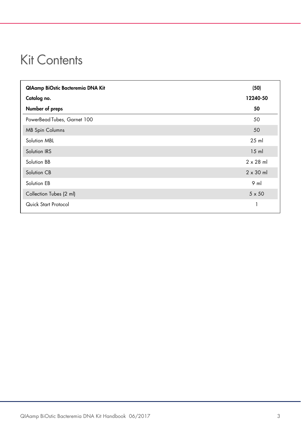### Kit Contents

| QIAamp BiOstic Bacteremia DNA Kit | (50)             |
|-----------------------------------|------------------|
| Catalog no.                       | 12240-50         |
| Number of preps                   | 50               |
| PowerBead Tubes, Garnet 100       | 50               |
| <b>MB Spin Columns</b>            | 50               |
| Solution MBL                      | $25$ ml          |
| Solution IRS                      | $15$ ml          |
| Solution BB                       | $2 \times 28$ ml |
| Solution CB                       | $2 \times 30$ ml |
| Solution EB                       | $9$ m            |
| Collection Tubes (2 ml)           | $5 \times 50$    |
| Quick Start Protocol              |                  |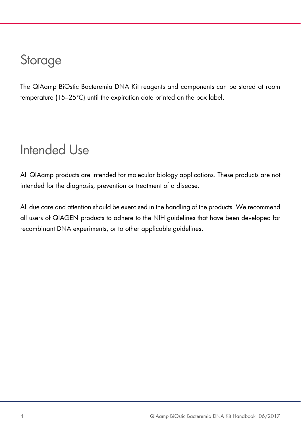### **Storage**

The QIAamp BiOstic Bacteremia DNA Kit reagents and components can be stored at room temperature (15–25°C) until the expiration date printed on the box label.

### Intended Use

All QIAamp products are intended for molecular biology applications. These products are not intended for the diagnosis, prevention or treatment of a disease.

All due care and attention should be exercised in the handling of the products. We recommend all users of QIAGEN products to adhere to the NIH guidelines that have been developed for recombinant DNA experiments, or to other applicable guidelines.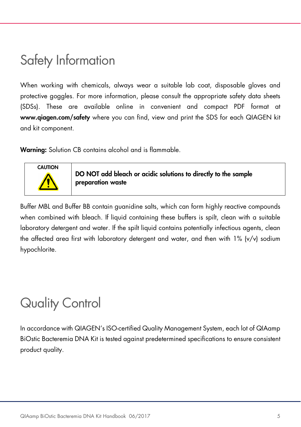### Safety Information

When working with chemicals, always wear a suitable lab coat, disposable gloves and protective goggles. For more information, please consult the appropriate safety data sheets (SDSs). These are available online in convenient and compact PDF format at www.qiagen.com/safety where you can find, view and print the SDS for each QIAGEN kit and kit component.

Warning: Solution CB contains alcohol and is flammable.



DO NOT add bleach or acidic solutions to directly to the sample preparation waste

Buffer MBL and Buffer BB contain guanidine salts, which can form highly reactive compounds when combined with bleach. If liquid containing these buffers is spilt, clean with a suitable laboratory detergent and water. If the spilt liquid contains potentially infectious agents, clean the affected area first with laboratory detergent and water, and then with 1% (v/v) sodium hypochlorite.

### Quality Control

In accordance with QIAGEN's ISO-certified Quality Management System, each lot of QIAamp BiOstic Bacteremia DNA Kit is tested against predetermined specifications to ensure consistent product quality.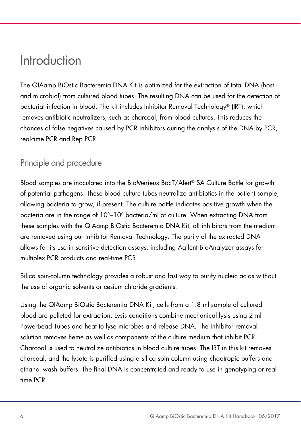### Introduction

The QIAamp BiOstic Bacteremia DNA Kit is optimized for the extraction of total DNA (host and microbial) from cultured blood tubes. The resulting DNA can be used for the detection of bacterial infection in blood. The kit includes Inhibitor Removal Technology® (IRT), which removes antibiotic neutralizers, such as charcoal, from blood cultures. This reduces the chances of false negatives caused by PCR inhibitors during the analysis of the DNA by PCR, real-time PCR and Rep PCR.

### Principle and procedure

Blood samples are inoculated into the BioMerieux BacT/Alert® SA Culture Bottle for growth of potential pathogens. These blood culture tubes neutralize antibiotics in the patient sample, allowing bacteria to grow, if present. The culture bottle indicates positive growth when the bacteria are in the range of 10<sup>5</sup>–10<sup>6</sup> bacteria/ml of culture. When extracting DNA from these samples with the QIAamp BiOstic Bacteremia DNA Kit, all inhibitors from the medium are removed using our Inhibitor Removal Technology. The purity of the extracted DNA allows for its use in sensitive detection assays, including Agilent BioAnalyzer assays for multiplex PCR products and real-time PCR.

Silica spin-column technology provides a robust and fast way to purify nucleic acids without the use of organic solvents or cesium chloride gradients.

Using the QIAamp BiOstic Bacteremia DNA Kit, cells from a 1.8 ml sample of cultured blood are pelleted for extraction. Lysis conditions combine mechanical lysis using 2 ml PowerBead Tubes and heat to lyse microbes and release DNA. The inhibitor removal solution removes heme as well as components of the culture medium that inhibit PCR. Charcoal is used to neutralize antibiotics in blood culture tubes. The IRT in this kit removes charcoal, and the lysate is purified using a silica spin column using chaotropic buffers and ethanol wash buffers. The final DNA is concentrated and ready to use in genotyping or realtime PCR.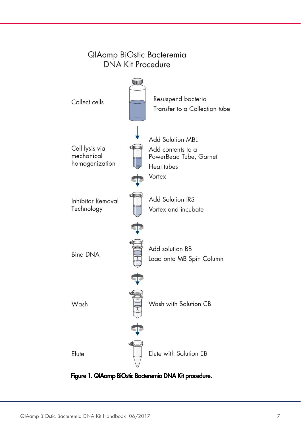

Figure 1. QIAamp BiOstic Bacteremia DNA Kit procedure.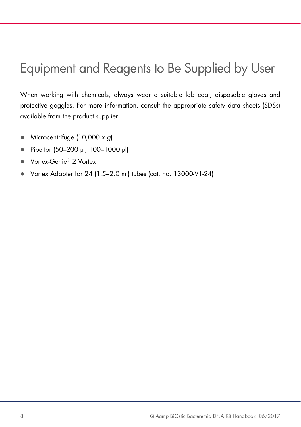## Equipment and Reagents to Be Supplied by User

When working with chemicals, always wear a suitable lab coat, disposable gloves and protective goggles. For more information, consult the appropriate safety data sheets (SDSs) available from the product supplier.

- $\bullet$  Microcentrifuge (10,000 x g)
- Pipettor (50–200 µl; 100–1000 µl)
- Vortex-Genie<sup>®</sup> 2 Vortex
- Vortex Adapter for 24 (1.5–2.0 ml) tubes (cat. no. 13000-V1-24)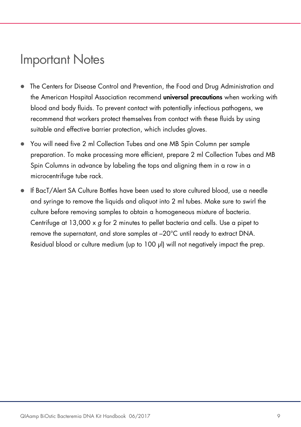### Important Notes

- The Centers for Disease Control and Prevention, the Food and Drug Administration and the American Hospital Association recommend **universal precautions** when working with blood and body fluids. To prevent contact with potentially infectious pathogens, we recommend that workers protect themselves from contact with these fluids by using suitable and effective barrier protection, which includes gloves.
- You will need five 2 ml Collection Tubes and one MB Spin Column per sample preparation. To make processing more efficient, prepare 2 ml Collection Tubes and MB Spin Columns in advance by labeling the tops and aligning them in a row in a microcentrifuge tube rack.
- If BacT/Alert SA Culture Bottles have been used to store cultured blood, use a needle and syringe to remove the liquids and aliquot into 2 ml tubes. Make sure to swirl the culture before removing samples to obtain a homogeneous mixture of bacteria. Centrifuge at 13,000 x g for 2 minutes to pellet bacteria and cells. Use a pipet to remove the supernatant, and store samples at –20°C until ready to extract DNA. Residual blood or culture medium (up to 100 μl) will not negatively impact the prep.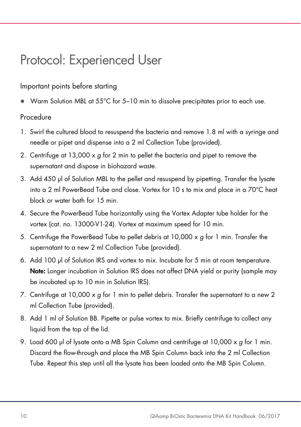### Protocol: Experienced User

#### Important points before starting

Warm Solution MBL at 55°C for 5–10 min to dissolve precipitates prior to each use.

#### Procedure

- 1. Swirl the cultured blood to resuspend the bacteria and remove 1.8 ml with a syringe and needle or pipet and dispense into a 2 ml Collection Tube (provided).
- 2. Centrifuge at 13,000 x g for 2 min to pellet the bacteria and pipet to remove the supernatant and dispose in biohazard waste.
- 3. Add 450 μl of Solution MBL to the pellet and resuspend by pipetting. Transfer the lysate into a 2 ml PowerBead Tube and close. Vortex for 10 s to mix and place in a 70°C heat block or water bath for 15 min.
- 4. Secure the PowerBead Tube horizontally using the Vortex Adapter tube holder for the vortex (cat. no. 13000-V1-24). Vortex at maximum speed for 10 min.
- 5. Centrifuge the PowerBead Tube to pellet debris at  $10,000 \times g$  for 1 min. Transfer the supernatant to a new 2 ml Collection Tube (provided).
- 6. Add 100 μl of Solution IRS and vortex to mix. Incubate for 5 min at room temperature. Note: Longer incubation in Solution IRS does not affect DNA yield or purity (sample may be incubated up to 10 min in Solution IRS).
- 7. Centrifuge at 10,000  $\times$  g for 1 min to pellet debris. Transfer the supernatant to a new 2 ml Collection Tube (provided).
- 8. Add 1 ml of Solution BB. Pipette or pulse vortex to mix. Briefly centrifuge to collect any liquid from the top of the lid.
- 9. Load 600 μl of lysate onto a MB Spin Column and centrifuge at 10,000 x g for 1 min. Discard the flow-through and place the MB Spin Column back into the 2 ml Collection Tube. Repeat this step until all the lysate has been loaded onto the MB Spin Column.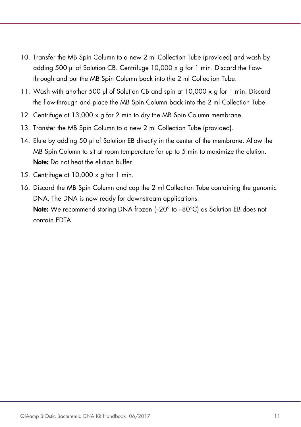- 10. Transfer the MB Spin Column to a new 2 ml Collection Tube (provided) and wash by adding 500 μl of Solution CB. Centrifuge 10,000 x g for 1 min. Discard the flowthrough and put the MB Spin Column back into the 2 ml Collection Tube.
- 11. Wash with another 500 μl of Solution CB and spin at 10,000 x g for 1 min. Discard the flow-through and place the MB Spin Column back into the 2 ml Collection Tube.
- 12. Centrifuge at 13,000 x g for 2 min to dry the MB Spin Column membrane.
- 13. Transfer the MB Spin Column to a new 2 ml Collection Tube (provided).
- 14. Elute by adding 50 μl of Solution EB directly in the center of the membrane. Allow the MB Spin Column to sit at room temperature for up to 5 min to maximize the elution. Note: Do not heat the elution buffer.
- 15. Centrifuge at  $10,000 \times g$  for 1 min.
- 16. Discard the MB Spin Column and cap the 2 ml Collection Tube containing the genomic DNA. The DNA is now ready for downstream applications. **Note:** We recommend storing DNA frozen  $(-20^\circ$  to  $-80^\circ \text{C})$  as Solution EB does not contain EDTA.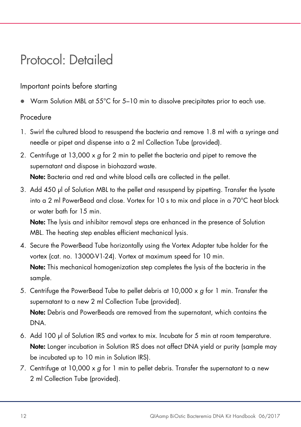### Protocol: Detailed

#### Important points before starting

Warm Solution MBL at 55°C for 5-10 min to dissolve precipitates prior to each use.

#### Procedure

- 1. Swirl the cultured blood to resuspend the bacteria and remove 1.8 ml with a syringe and needle or pipet and dispense into a 2 ml Collection Tube (provided).
- 2. Centrifuge at  $13,000 \times q$  for 2 min to pellet the bacteria and pipet to remove the supernatant and dispose in biohazard waste. Note: Bacteria and red and white blood cells are collected in the pellet.
- 3. Add 450 μl of Solution MBL to the pellet and resuspend by pipetting. Transfer the lysate into a 2 ml PowerBead and close. Vortex for 10 s to mix and place in a 70°C heat block or water bath for 15 min.

Note: The lysis and inhibitor removal steps are enhanced in the presence of Solution MBL. The heating step enables efficient mechanical lysis.

- 4. Secure the PowerBead Tube horizontally using the Vortex Adapter tube holder for the vortex (cat. no. 13000-V1-24). Vortex at maximum speed for 10 min. Note: This mechanical homogenization step completes the lysis of the bacteria in the sample.
- 5. Centrifuge the PowerBead Tube to pellet debris at  $10,000 \times g$  for 1 min. Transfer the supernatant to a new 2 ml Collection Tube (provided). Note: Debris and PowerBeads are removed from the supernatant, which contains the DNA.
- 6. Add 100 μl of Solution IRS and vortex to mix. Incubate for 5 min at room temperature. Note: Longer incubation in Solution IRS does not affect DNA yield or purity (sample may be incubated up to 10 min in Solution IRS).
- 7. Centrifuge at 10,000  $\times$  g for 1 min to pellet debris. Transfer the supernatant to a new 2 ml Collection Tube (provided).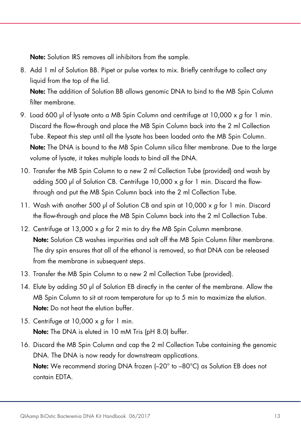Note: Solution IRS removes all inhibitors from the sample.

8. Add 1 ml of Solution BB. Pipet or pulse vortex to mix. Briefly centrifuge to collect any liquid from the top of the lid.

Note: The addition of Solution BB allows genomic DNA to bind to the MB Spin Column filter membrane.

- 9. Load 600 μl of lysate onto a MB Spin Column and centrifuge at 10,000 x g for 1 min. Discard the flow-through and place the MB Spin Column back into the 2 ml Collection Tube. Repeat this step until all the lysate has been loaded onto the MB Spin Column. Note: The DNA is bound to the MB Spin Column silica filter membrane. Due to the large volume of lysate, it takes multiple loads to bind all the DNA.
- 10. Transfer the MB Spin Column to a new 2 ml Collection Tube (provided) and wash by adding 500 μl of Solution CB. Centrifuge 10,000 x g for 1 min. Discard the flowthrough and put the MB Spin Column back into the 2 ml Collection Tube.
- 11. Wash with another 500 μl of Solution CB and spin at 10,000 x g for 1 min. Discard the flow-through and place the MB Spin Column back into the 2 ml Collection Tube.
- 12. Centrifuge at 13,000 x g for 2 min to dry the MB Spin Column membrane. Note: Solution CB washes impurities and salt off the MB Spin Column filter membrane. The dry spin ensures that all of the ethanol is removed, so that DNA can be released from the membrane in subsequent steps.
- 13. Transfer the MB Spin Column to a new 2 ml Collection Tube (provided).
- 14. Elute by adding 50 μl of Solution EB directly in the center of the membrane. Allow the MB Spin Column to sit at room temperature for up to 5 min to maximize the elution. Note: Do not heat the elution buffer.
- 15. Centrifuge at  $10,000 \times q$  for 1 min. Note: The DNA is eluted in 10 mM Tris (pH 8.0) buffer.
- 16. Discard the MB Spin Column and cap the 2 ml Collection Tube containing the genomic DNA. The DNA is now ready for downstream applications. Note: We recommend storing DNA frozen (-20° to -80°C) as Solution EB does not contain EDTA.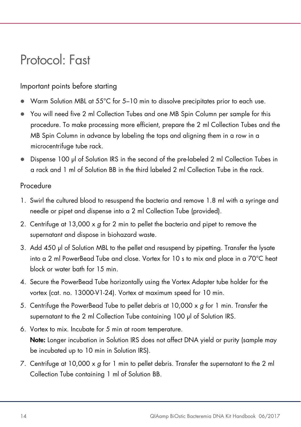### Protocol: Fast

#### Important points before starting

- Warm Solution MBL at 55°C for 5–10 min to dissolve precipitates prior to each use.
- You will need five 2 ml Collection Tubes and one MB Spin Column per sample for this procedure. To make processing more efficient, prepare the 2 ml Collection Tubes and the MB Spin Column in advance by labeling the tops and aligning them in a row in a microcentrifuge tube rack.
- Dispense 100 μl of Solution IRS in the second of the pre-labeled 2 ml Collection Tubes in a rack and 1 ml of Solution BB in the third labeled 2 ml Collection Tube in the rack.

#### Procedure

- 1. Swirl the cultured blood to resuspend the bacteria and remove 1.8 ml with a syringe and needle or pipet and dispense into a 2 ml Collection Tube (provided).
- 2. Centrifuge at  $13,000 \times g$  for 2 min to pellet the bacteria and pipet to remove the supernatant and dispose in biohazard waste.
- 3. Add 450 μl of Solution MBL to the pellet and resuspend by pipetting. Transfer the lysate into a 2 ml PowerBead Tube and close. Vortex for 10 s to mix and place in a 70°C heat block or water bath for 15 min.
- 4. Secure the PowerBead Tube horizontally using the Vortex Adapter tube holder for the vortex (cat. no. 13000-V1-24). Vortex at maximum speed for 10 min.
- 5. Centrifuge the PowerBead Tube to pellet debris at  $10,000 \times q$  for 1 min. Transfer the supernatant to the 2 ml Collection Tube containing 100 μl of Solution IRS.
- 6. Vortex to mix. Incubate for 5 min at room temperature. Note: Longer incubation in Solution IRS does not affect DNA yield or purity (sample may be incubated up to 10 min in Solution IRS).
- 7. Centrifuge at 10,000  $\times$  g for 1 min to pellet debris. Transfer the supernatant to the 2 ml Collection Tube containing 1 ml of Solution BB.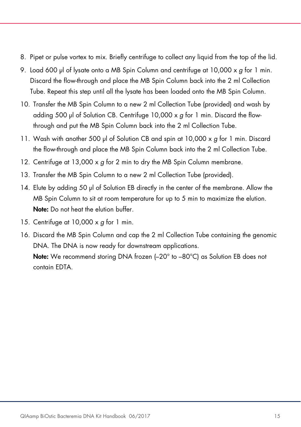- 8. Pipet or pulse vortex to mix. Briefly centrifuge to collect any liquid from the top of the lid.
- 9. Load 600 μl of lysate onto a MB Spin Column and centrifuge at  $10,000 \times g$  for 1 min. Discard the flow-through and place the MB Spin Column back into the 2 ml Collection Tube. Repeat this step until all the lysate has been loaded onto the MB Spin Column.
- 10. Transfer the MB Spin Column to a new 2 ml Collection Tube (provided) and wash by adding 500 μl of Solution CB. Centrifuge 10,000 x g for 1 min. Discard the flowthrough and put the MB Spin Column back into the 2 ml Collection Tube.
- 11. Wash with another 500 μl of Solution CB and spin at 10,000 x g for 1 min. Discard the flow-through and place the MB Spin Column back into the 2 ml Collection Tube.
- 12. Centrifuge at 13,000 x g for 2 min to dry the MB Spin Column membrane.
- 13. Transfer the MB Spin Column to a new 2 ml Collection Tube (provided).
- 14. Elute by adding 50 μl of Solution EB directly in the center of the membrane. Allow the MB Spin Column to sit at room temperature for up to 5 min to maximize the elution. Note: Do not heat the elution buffer.
- 15. Centrifuge at 10,000 x g for 1 min.
- 16. Discard the MB Spin Column and cap the 2 ml Collection Tube containing the genomic DNA. The DNA is now ready for downstream applications.

Note: We recommend storing DNA frozen (-20° to -80°C) as Solution EB does not contain EDTA.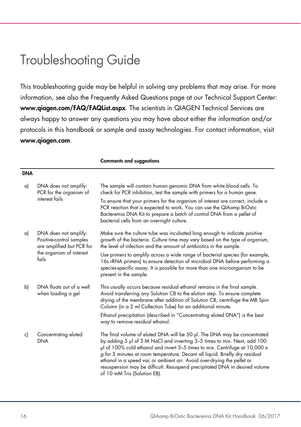### Troubleshooting Guide

This troubleshooting guide may be helpful in solving any problems that may arise. For more information, see also the Frequently Asked Questions page at our Technical Support Center: www.qiagen.com/FAQ/FAQList.aspx. The scientists in QIAGEN Technical Services are always happy to answer any questions you may have about either the information and/or protocols in this handbook or sample and assay technologies. For contact information, visit www.qiagen.com.

Comments and suggestions

| <b>DNA</b> |                                                                                                                     |                                                                                                                                                                                                                                                                                                                                                                                                                                                                                                                  |
|------------|---------------------------------------------------------------------------------------------------------------------|------------------------------------------------------------------------------------------------------------------------------------------------------------------------------------------------------------------------------------------------------------------------------------------------------------------------------------------------------------------------------------------------------------------------------------------------------------------------------------------------------------------|
| a)         | DNA does not amplify:<br>PCR for the organism of<br>interest fails                                                  | The sample will contain human genomic DNA from white blood cells. To<br>check for PCR inhibition, test the sample with primers for a human gene.                                                                                                                                                                                                                                                                                                                                                                 |
|            |                                                                                                                     | To ensure that your primers for the organism of interest are correct, include a<br>PCR reaction that is expected to work. You can use the QIAamp BiOstic<br>Bacteremia DNA Kit to prepare a batch of control DNA from a pellet of<br>bacterial cells from an overnight culture.                                                                                                                                                                                                                                  |
| a)         | DNA does not amplify:<br>Positive-control samples<br>are amplified but PCR for<br>the organism of interest<br>fails | Make sure the culture tube was incubated long enough to indicate positive<br>growth of the bacteria. Culture time may vary based on the type of organism,<br>the level of infection and the amount of antibiotics in the sample.                                                                                                                                                                                                                                                                                 |
|            |                                                                                                                     | Use primers to amplify across a wide range of bacterial species (for example,<br>16s rRNA primers) to ensure detection of microbial DNA before performing a<br>species-specific assay. It is possible for more than one microorganism to be<br>present in the sample.                                                                                                                                                                                                                                            |
| b)         | DNA floats out of a well<br>when loading a gel                                                                      | This usually occurs because residual ethanol remains in the final sample.<br>Avoid transferring any Solution CB to the elution step. To ensure complete<br>drying of the membrane after addition of Solution CB, centrifuge the MB Spin<br>Column (in a 2 ml Collection Tube) for an additional minute.                                                                                                                                                                                                          |
|            |                                                                                                                     | Ethanol precipitation (described in "Concentrating eluted DNA") is the best<br>way to remove residual ethanol.                                                                                                                                                                                                                                                                                                                                                                                                   |
| c)         | Concentrating eluted<br><b>DNA</b>                                                                                  | The final volume of eluted DNA will be 50 µl. The DNA may be concentrated<br>by adding 5 µl of 3 M NaCl and inverting 3–5 times to mix. Next, add 100<br>$\mu$ of 100% cold ethanol and invert 3-5 times to mix. Centrifuge at 10,000 x<br>g for 5 minutes at room temperature. Decant all liquid. Briefly dry residual<br>ethanol in a speed vac or ambient air. Avoid over-drying the pellet or<br>resuspension may be difficult. Resuspend precipitated DNA in desired volume<br>of 10 mM Tris (Solution EB). |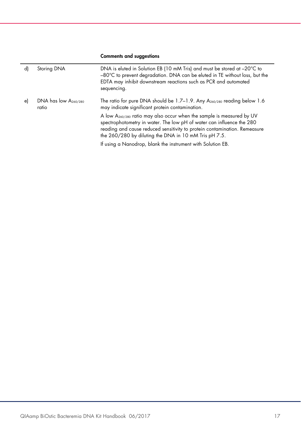#### Comments and suggestions

| d)              | Storing DNA                        | DNA is eluted in Solution EB (10 mM Tris) and must be stored at -20°C to<br>-80°C to prevent degradation. DNA can be eluted in TE without loss, but the<br>EDTA may inhibit downstream reactions such as PCR and automated<br>sequencing.                                                        |
|-----------------|------------------------------------|--------------------------------------------------------------------------------------------------------------------------------------------------------------------------------------------------------------------------------------------------------------------------------------------------|
| $\vert e \vert$ | DNA has low $A_{260/280}$<br>ratio | The ratio for pure DNA should be 1.7–1.9. Any A <sub>260/280</sub> reading below 1.6<br>may indicate significant protein contamination.                                                                                                                                                          |
|                 |                                    | A low A <sub>260/280</sub> ratio may also occur when the sample is measured by UV<br>spectrophotometry in water. The low pH of water can influence the 280<br>reading and cause reduced sensitivity to protein contamination. Remeasure<br>the 260/280 by diluting the DNA in 10 mM Tris pH 7.5. |
|                 |                                    | If using a Nanodrop, blank the instrument with Solution EB.                                                                                                                                                                                                                                      |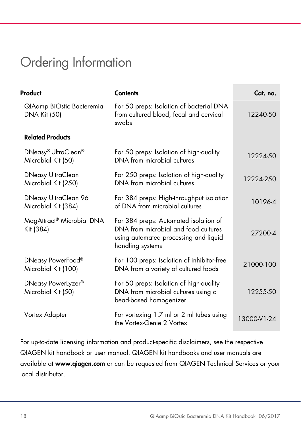## Ordering Information

| Product                                              | <b>Contents</b>                                                                                                                            | Cat. no.    |
|------------------------------------------------------|--------------------------------------------------------------------------------------------------------------------------------------------|-------------|
| QIAamp BiOstic Bacteremia<br><b>DNA Kit (50)</b>     | For 50 preps: Isolation of bacterial DNA<br>from cultured blood, fecal and cervical<br>swabs                                               | 12240-50    |
| <b>Related Products</b>                              |                                                                                                                                            |             |
| DNeasy® UltraClean®<br>Microbial Kit (50)            | For 50 preps: Isolation of high-quality<br>DNA from microbial cultures                                                                     | 12224-50    |
| DNeasy UltraClean<br>Microbial Kit (250)             | For 250 preps: Isolation of high-quality<br>DNA from microbial cultures                                                                    | 12224-250   |
| DNeasy UltraClean 96<br>Microbial Kit (384)          | For 384 preps: High-throughput isolation<br>of DNA from microbial cultures                                                                 | 10196-4     |
| MagAttract® Microbial DNA<br>Kit (384)               | For 384 preps: Automated isolation of<br>DNA from microbial and food cultures<br>using automated processing and liquid<br>handling systems | 27200-4     |
| DNeasy PowerFood®<br>Microbial Kit (100)             | For 100 preps: Isolation of inhibitor-free<br>DNA from a variety of cultured foods                                                         | 21000-100   |
| DNeasy PowerLyzer <sup>®</sup><br>Microbial Kit (50) | For 50 preps: Isolation of high-quality<br>DNA from microbial cultures using a<br>bead-based homogenizer                                   | 12255-50    |
| Vortex Adapter                                       | For vortexing 1.7 ml or 2 ml tubes using<br>the Vortex-Genie 2 Vortex                                                                      | 13000-V1-24 |

For up-to-date licensing information and product-specific disclaimers, see the respective QIAGEN kit handbook or user manual. QIAGEN kit handbooks and user manuals are available at www.qiagen.com or can be requested from QIAGEN Technical Services or your local distributor.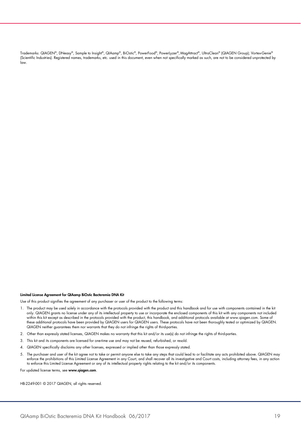Trademarks: QIAGEN®, DNeasy®, Sample to Insight®, QIAamp®, BiOstic®, PowerFood®, PowerLyzer®, MagAttract®, UltraClean® (QIAGEN Group); Vortex-Genie® (Scientific Industries). Registered names, trademarks, etc. used in this document, even when not specifically marked as such, are not to be considered unprotected by law.

#### Limited License Agreement for QIAamp BiOstic Bacteremia DNA Kit

Use of this product signifies the agreement of any purchaser or user of the product to the following terms:

- 1. The product may be used solely in accordance with the protocols provided with the product and this handbook and for use with components contained in the kit only. QIAGEN grants no license under any of its intellectual property to use or incorporate the enclosed components of this kit with any components not included within this kit except as described in the protocols provided with the product, this handbook, and additional protocols available at www.qiagen.com. Some of these additional protocols have been provided by QIAGEN users for QIAGEN users. These protocols have not been thoroughly tested or optimized by QIAGEN.<br>QIAGEN neither guarantees them nor warrants that they do not infringe
- 2. Other than expressly stated licenses, QIAGEN makes no warranty that this kit and/or its use(s) do not infringe the rights of third-parties.
- 3. This kit and its components are licensed for one-time use and may not be reused, refurbished, or resold.
- 4. QIAGEN specifically disclaims any other licenses, expressed or implied other than those expressly stated.
- 5. The purchaser and user of the kit agree not to take or permit anyone else to take any steps that could lead to or facilitate any acts prohibited above. QIAGEN may enforce the prohibitions of this Limited License Agreement in any Court, and shall recover all its investigative and Court costs, including attorney fees, in any action<br>to enforce this Limited License Agreement or any of i
- For updated license terms, see www.qiagen.com.

HB-2249-001 © 2017 QIAGEN, all rights reserved.